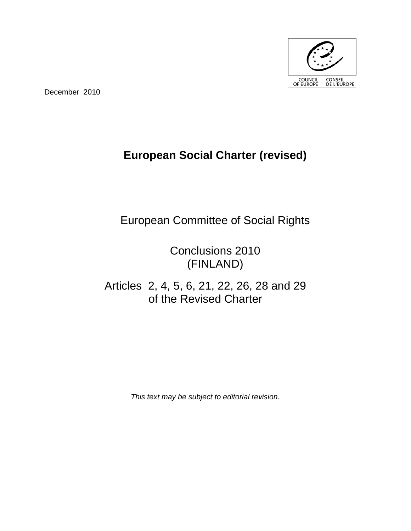

December 2010

## **European Social Charter (revised)**

European Committee of Social Rights

Conclusions 2010 (FINLAND)

Articles 2, 4, 5, 6, 21, 22, 26, 28 and 29 of the Revised Charter

*This text may be subject to editorial revision.*